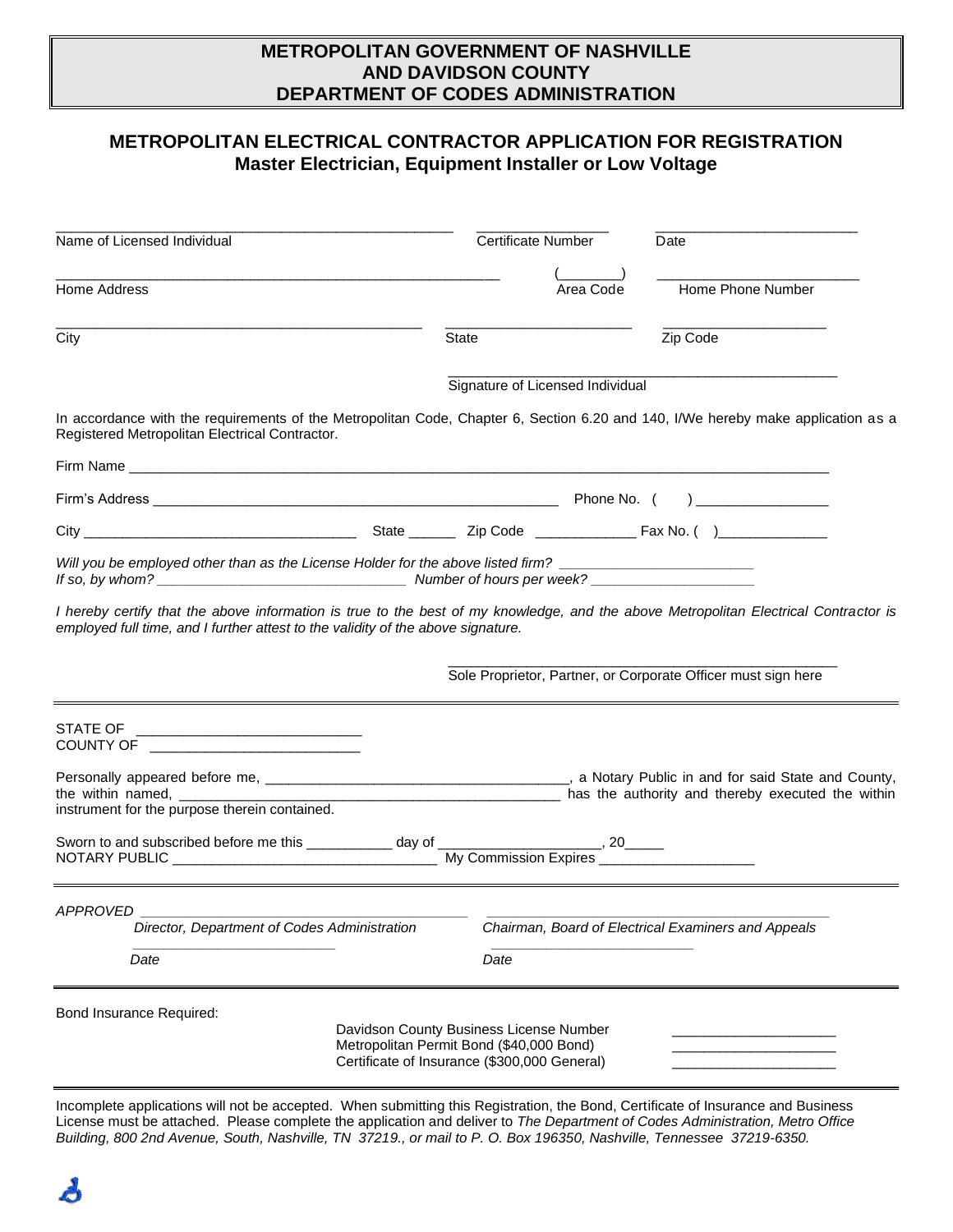## **METROPOLITAN GOVERNMENT OF NASHVILLE AND DAVIDSON COUNTY DEPARTMENT OF CODES ADMINISTRATION**

# **METROPOLITAN ELECTRICAL CONTRACTOR APPLICATION FOR REGISTRATION Master Electrician, Equipment Installer or Low Voltage**

| Name of Licensed Individual                                                                                                                                                                                              | <b>Certificate Number</b>                                                                                                           | Date                                                          |
|--------------------------------------------------------------------------------------------------------------------------------------------------------------------------------------------------------------------------|-------------------------------------------------------------------------------------------------------------------------------------|---------------------------------------------------------------|
| Home Address                                                                                                                                                                                                             | Area Code                                                                                                                           | Home Phone Number                                             |
| City                                                                                                                                                                                                                     | State                                                                                                                               | Zip Code                                                      |
|                                                                                                                                                                                                                          | Signature of Licensed Individual                                                                                                    |                                                               |
| In accordance with the requirements of the Metropolitan Code, Chapter 6, Section 6.20 and 140, I/We hereby make application as a<br>Registered Metropolitan Electrical Contractor.                                       |                                                                                                                                     |                                                               |
|                                                                                                                                                                                                                          |                                                                                                                                     |                                                               |
|                                                                                                                                                                                                                          |                                                                                                                                     |                                                               |
|                                                                                                                                                                                                                          |                                                                                                                                     |                                                               |
| Will you be employed other than as the License Holder for the above listed firm? _____________________________                                                                                                           |                                                                                                                                     |                                                               |
| I hereby certify that the above information is true to the best of my knowledge, and the above Metropolitan Electrical Contractor is<br>employed full time, and I further attest to the validity of the above signature. |                                                                                                                                     |                                                               |
|                                                                                                                                                                                                                          |                                                                                                                                     | Sole Proprietor, Partner, or Corporate Officer must sign here |
| STATE OF ______________________________<br>COUNTY OF THE COUNTY OF                                                                                                                                                       |                                                                                                                                     |                                                               |
| instrument for the purpose therein contained.                                                                                                                                                                            |                                                                                                                                     |                                                               |
| Sworn to and subscribed before me this ____________ day of _______________________, 20______                                                                                                                             |                                                                                                                                     |                                                               |
| APPROVED                                                                                                                                                                                                                 |                                                                                                                                     |                                                               |
| Director, Department of Codes Administration                                                                                                                                                                             |                                                                                                                                     | Chairman, Board of Electrical Examiners and Appeals           |
| Date                                                                                                                                                                                                                     | Date                                                                                                                                |                                                               |
| Bond Insurance Required:                                                                                                                                                                                                 |                                                                                                                                     |                                                               |
|                                                                                                                                                                                                                          | Davidson County Business License Number<br>Metropolitan Permit Bond (\$40,000 Bond)<br>Certificate of Insurance (\$300,000 General) |                                                               |

Incomplete applications will not be accepted. When submitting this Registration, the Bond, Certificate of Insurance and Business License must be attached. Please complete the application and deliver to *The Department of Codes Administration, Metro Office Building, 800 2nd Avenue, South, Nashville, TN 37219., or mail to P. O. Box 196350, Nashville, Tennessee 37219-6350.*